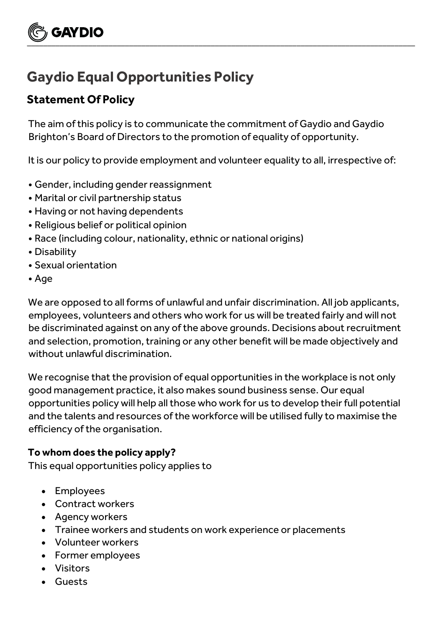# **Gaydio Equal Opportunities Policy**

## **Statement Of Policy**

**GAYDIO** 

The aim of this policy is to communicate the commitment of Gaydio and Gaydio Brighton's Board of Directors to the promotion of equality of opportunity.

 $\underbrace{\smile}$  , and the contract of the contract of the contract of the contract of the contract of the contract of the contract of the contract of the contract of the contract of the contract of the contract of the contract

It is our policy to provide employment and volunteer equality to all, irrespective of:

- Gender, including gender reassignment
- Marital or civil partnership status
- Having or not having dependents
- Religious belief or political opinion
- Race (including colour, nationality, ethnic or national origins)
- Disability
- Sexual orientation
- Age

We are opposed to all forms of unlawful and unfair discrimination. All job applicants, employees, volunteers and others who work for us will be treated fairly and will not be discriminated against on any of the above grounds. Decisions about recruitment and selection, promotion, training or any other benefit will be made objectively and without unlawful discrimination.

We recognise that the provision of equal opportunities in the workplace is not only good management practice, it also makes sound business sense. Our equal opportunities policy will help all those who work for us to develop their full potential and the talents and resources of the workforce will be utilised fully to maximise the efficiency of the organisation.

#### **To whom does the policy apply?**

This equal opportunities policy applies to

- Employees
- Contract workers
- Agency workers
- Trainee workers and students on work experience or placements
- Volunteer workers
- Former employees
- Visitors
- Guests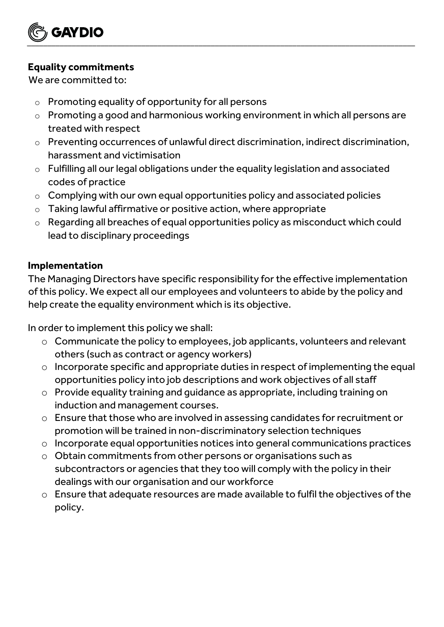

### **Equality commitments**

We are committed to:

- $\circ$  Promoting equality of opportunity for all persons
- o Promoting a good and harmonious working environment in which all persons are treated with respect
- o Preventing occurrences of unlawful direct discrimination, indirect discrimination, harassment and victimisation
- o Fulfilling all our legal obligations under the equality legislation and associated codes of practice
- o Complying with our own equal opportunities policy and associated policies
- $\circ$  Taking lawful affirmative or positive action, where appropriate
- o Regarding all breaches of equal opportunities policy as misconduct which could lead to disciplinary proceedings

### **Implementation**

The Managing Directors have specific responsibility for the effective implementation of this policy. We expect all our employees and volunteers to abide by the policy and help create the equality environment which is its objective.

In order to implement this policy we shall:

- o Communicate the policy to employees, job applicants, volunteers and relevant others (such as contract or agency workers)
- o Incorporate specific and appropriate duties in respect of implementing the equal opportunities policy into job descriptions and work objectives of all staff
- o Provide equality training and guidance as appropriate, including training on induction and management courses.
- o Ensure that those who are involved in assessing candidates for recruitment or promotion will be trained in non-discriminatory selection techniques
- o Incorporate equal opportunities notices into general communications practices
- o Obtain commitments from other persons or organisations such as subcontractors or agencies that they too will comply with the policy in their dealings with our organisation and our workforce
- o Ensure that adequate resources are made available to fulfil the objectives of the policy.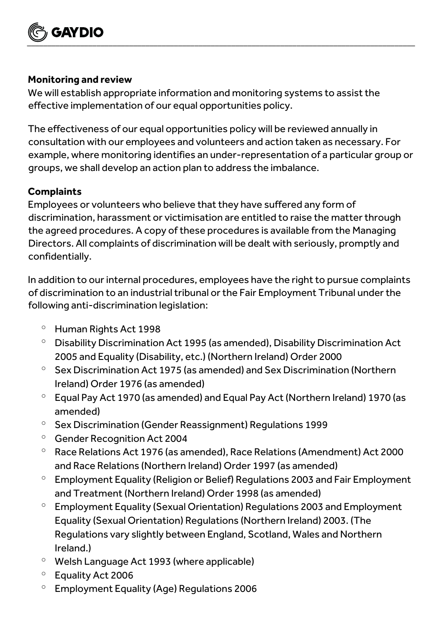

#### **Monitoring and review**

We will establish appropriate information and monitoring systems to assist the effective implementation of our equal opportunities policy.

The effectiveness of our equal opportunities policy will be reviewed annually in consultation with our employees and volunteers and action taken as necessary. For example, where monitoring identifies an under-representation of a particular group or groups, we shall develop an action plan to address the imbalance.

### **Complaints**

Employees or volunteers who believe that they have suffered any form of discrimination, harassment or victimisation are entitled to raise the matter through the agreed procedures. A copy of these procedures is available from the Managing Directors. All complaints of discrimination will be dealt with seriously, promptly and confidentially.

In addition to our internal procedures, employees have the right to pursue complaints of discrimination to an industrial tribunal or the Fair Employment Tribunal under the following anti-discrimination legislation:

- $^{\circ}$  Human Rights Act 1998
- <sup>o</sup> Disability Discrimination Act 1995 (as amended), Disability Discrimination Act 2005 and Equality (Disability, etc.) (Northern Ireland) Order 2000
- $\degree$  Sex Discrimination Act 1975 (as amended) and Sex Discrimination (Northern Ireland) Order 1976 (as amended)
- $\degree$  Equal Pay Act 1970 (as amended) and Equal Pay Act (Northern Ireland) 1970 (as amended)
- <sup>o</sup> Sex Discrimination (Gender Reassignment) Regulations 1999
- <sup>o</sup> Gender Recognition Act 2004
- $\degree$  Race Relations Act 1976 (as amended), Race Relations (Amendment) Act 2000 and Race Relations (Northern Ireland) Order 1997 (as amended)
- $\degree$  Employment Equality (Religion or Belief) Regulations 2003 and Fair Employment and Treatment (Northern Ireland) Order 1998 (as amended)
- $\degree$  Employment Equality (Sexual Orientation) Regulations 2003 and Employment Equality (Sexual Orientation) Regulations (Northern Ireland) 2003. (The Regulations vary slightly between England, Scotland, Wales and Northern Ireland.)
- <sup>o</sup> Welsh Language Act 1993 (where applicable)
- <sup>o</sup> Equality Act 2006
- $\degree$  Employment Equality (Age) Regulations 2006